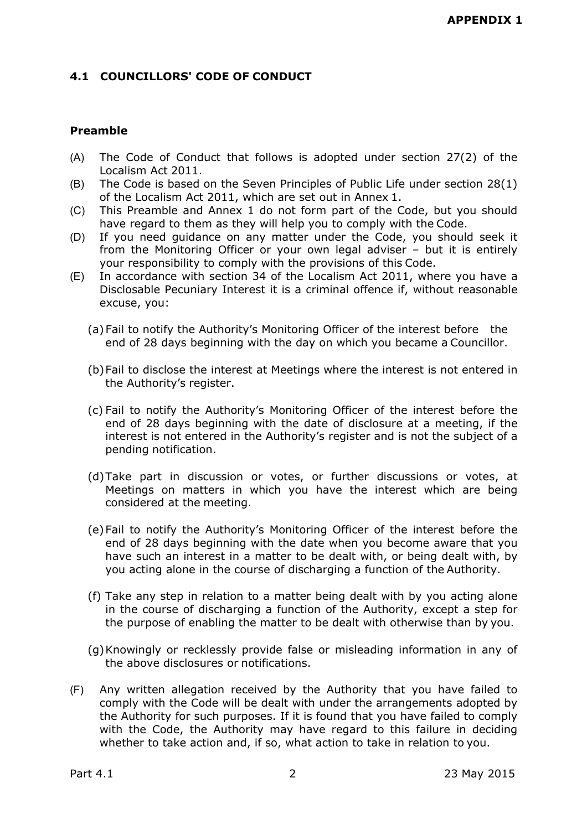# **4.1 COUNCILLORS' CODE OF CONDUCT**

## **Preamble**

- (A) The Code of Conduct that follows is adopted under section 27(2) of the Localism Act 2011.
- (B) The Code is based on the Seven Principles of Public Life under section 28(1) of the Localism Act 2011, which are set out in Annex 1.
- (C) This Preamble and Annex 1 do not form part of the Code, but you should have regard to them as they will help you to comply with the Code.
- (D) If you need guidance on any matter under the Code, you should seek it from the Monitoring Officer or your own legal adviser – but it is entirely your responsibility to comply with the provisions of this Code.
- (E) In accordance with section 34 of the Localism Act 2011, where you have a Disclosable Pecuniary Interest it is a criminal offence if, without reasonable excuse, you:
	- (a)Fail to notify the Authority's Monitoring Officer of the interest before the end of 28 days beginning with the day on which you became a Councillor.
	- (b)Fail to disclose the interest at Meetings where the interest is not entered in the Authority's register.
	- (c) Fail to notify the Authority's Monitoring Officer of the interest before the end of 28 days beginning with the date of disclosure at a meeting, if the interest is not entered in the Authority's register and is not the subject of a pending notification.
	- (d)Take part in discussion or votes, or further discussions or votes, at Meetings on matters in which you have the interest which are being considered at the meeting.
	- (e)Fail to notify the Authority's Monitoring Officer of the interest before the end of 28 days beginning with the date when you become aware that you have such an interest in a matter to be dealt with, or being dealt with, by you acting alone in the course of discharging a function of the Authority.
	- (f) Take any step in relation to a matter being dealt with by you acting alone in the course of discharging a function of the Authority, except a step for the purpose of enabling the matter to be dealt with otherwise than by you.
	- (g)Knowingly or recklessly provide false or misleading information in any of the above disclosures or notifications.
- (F) Any written allegation received by the Authority that you have failed to comply with the Code will be dealt with under the arrangements adopted by the Authority for such purposes. If it is found that you have failed to comply with the Code, the Authority may have regard to this failure in deciding whether to take action and, if so, what action to take in relation to you.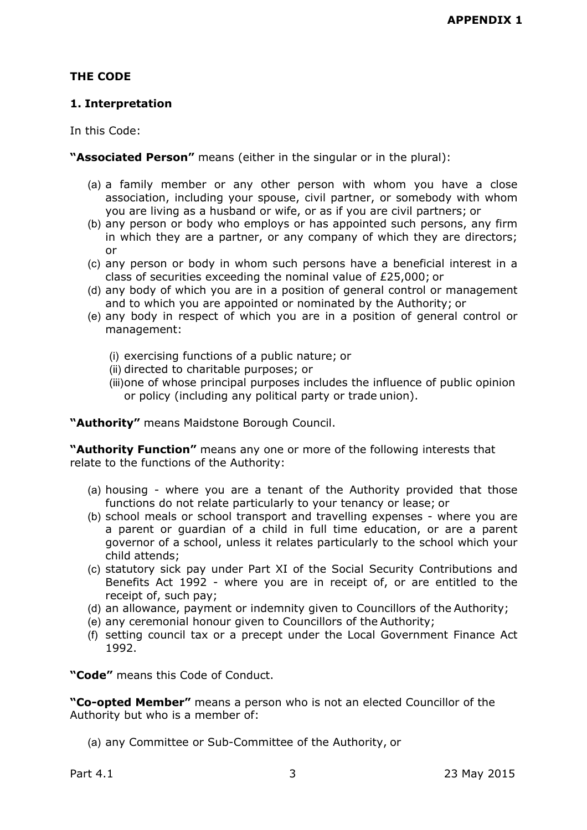# **THE CODE**

# **1. Interpretation**

In this Code:

**"Associated Person"** means (either in the singular or in the plural):

- (a) a family member or any other person with whom you have a close association, including your spouse, civil partner, or somebody with whom you are living as a husband or wife, or as if you are civil partners; or
- (b) any person or body who employs or has appointed such persons, any firm in which they are a partner, or any company of which they are directors; or
- (c) any person or body in whom such persons have a beneficial interest in a class of securities exceeding the nominal value of £25,000; or
- (d) any body of which you are in a position of general control or management and to which you are appointed or nominated by the Authority; or
- (e) any body in respect of which you are in a position of general control or management:
	- (i) exercising functions of a public nature; or
	- (ii) directed to charitable purposes; or
	- (iii)one of whose principal purposes includes the influence of public opinion or policy (including any political party or trade union).

**"Authority"** means Maidstone Borough Council.

**"Authority Function"** means any one or more of the following interests that relate to the functions of the Authority:

- (a) housing where you are a tenant of the Authority provided that those functions do not relate particularly to your tenancy or lease; or
- (b) school meals or school transport and travelling expenses where you are a parent or guardian of a child in full time education, or are a parent governor of a school, unless it relates particularly to the school which your child attends;
- (c) statutory sick pay under Part XI of the Social Security Contributions and Benefits Act 1992 - where you are in receipt of, or are entitled to the receipt of, such pay;
- (d) an allowance, payment or indemnity given to Councillors of the Authority;
- (e) any ceremonial honour given to Councillors of the Authority;
- (f) setting council tax or a precept under the Local Government Finance Act 1992.

**"Code"** means this Code of Conduct.

**"Co-opted Member"** means a person who is not an elected Councillor of the Authority but who is a member of:

(a) any Committee or Sub-Committee of the Authority, or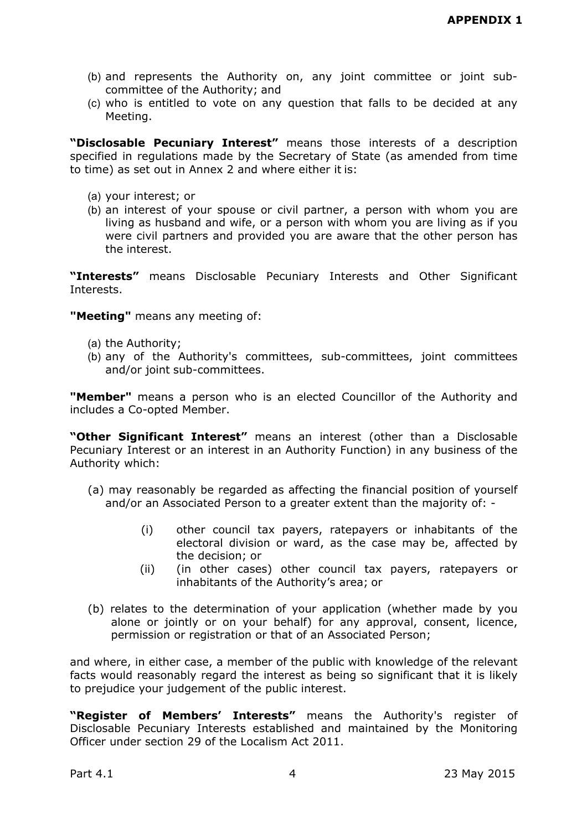- (b) and represents the Authority on, any joint committee or joint subcommittee of the Authority; and
- (c) who is entitled to vote on any question that falls to be decided at any Meeting.

**"Disclosable Pecuniary Interest"** means those interests of a description specified in regulations made by the Secretary of State (as amended from time to time) as set out in Annex 2 and where either it is:

- (a) your interest; or
- (b) an interest of your spouse or civil partner, a person with whom you are living as husband and wife, or a person with whom you are living as if you were civil partners and provided you are aware that the other person has the interest.

**"Interests"** means Disclosable Pecuniary Interests and Other Significant Interests.

**"Meeting"** means any meeting of:

- (a) the Authority;
- (b) any of the Authority's committees, sub-committees, joint committees and/or joint sub-committees.

**"Member"** means a person who is an elected Councillor of the Authority and includes a Co-opted Member.

**"Other Significant Interest"** means an interest (other than a Disclosable Pecuniary Interest or an interest in an Authority Function) in any business of the Authority which:

- (a) may reasonably be regarded as affecting the financial position of yourself and/or an Associated Person to a greater extent than the majority of: -
	- (i) other council tax payers, ratepayers or inhabitants of the electoral division or ward, as the case may be, affected by the decision; or
	- (ii) (in other cases) other council tax payers, ratepayers or inhabitants of the Authority's area; or
- (b) relates to the determination of your application (whether made by you alone or jointly or on your behalf) for any approval, consent, licence, permission or registration or that of an Associated Person;

and where, in either case, a member of the public with knowledge of the relevant facts would reasonably regard the interest as being so significant that it is likely to prejudice your judgement of the public interest.

**"Register of Members' Interests"** means the Authority's register of Disclosable Pecuniary Interests established and maintained by the Monitoring Officer under section 29 of the Localism Act 2011.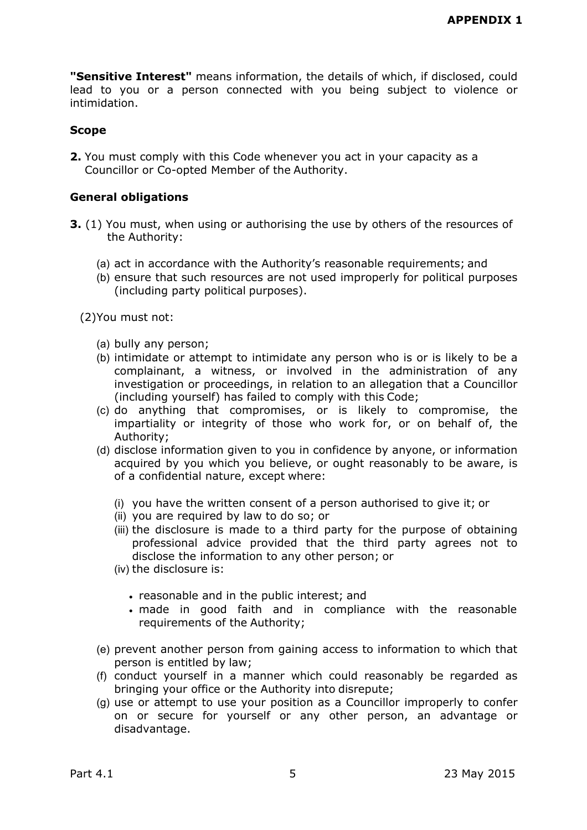**"Sensitive Interest"** means information, the details of which, if disclosed, could lead to you or a person connected with you being subject to violence or intimidation.

#### **Scope**

**2.** You must comply with this Code whenever you act in your capacity as a Councillor or Co-opted Member of the Authority.

#### **General obligations**

- **3.** (1) You must, when using or authorising the use by others of the resources of the Authority:
	- (a) act in accordance with the Authority's reasonable requirements; and
	- (b) ensure that such resources are not used improperly for political purposes (including party political purposes).

(2)You must not:

- (a) bully any person;
- (b) intimidate or attempt to intimidate any person who is or is likely to be a complainant, a witness, or involved in the administration of any investigation or proceedings, in relation to an allegation that a Councillor (including yourself) has failed to comply with this Code;
- (c) do anything that compromises, or is likely to compromise, the impartiality or integrity of those who work for, or on behalf of, the Authority;
- (d) disclose information given to you in confidence by anyone, or information acquired by you which you believe, or ought reasonably to be aware, is of a confidential nature, except where:
	- (i) you have the written consent of a person authorised to give it; or
	- (ii) you are required by law to do so; or
	- (iii) the disclosure is made to a third party for the purpose of obtaining professional advice provided that the third party agrees not to disclose the information to any other person; or
	- (iv) the disclosure is:
		- reasonable and in the public interest; and
		- made in good faith and in compliance with the reasonable requirements of the Authority;
- (e) prevent another person from gaining access to information to which that person is entitled by law;
- (f) conduct yourself in a manner which could reasonably be regarded as bringing your office or the Authority into disrepute;
- (g) use or attempt to use your position as a Councillor improperly to confer on or secure for yourself or any other person, an advantage or disadvantage.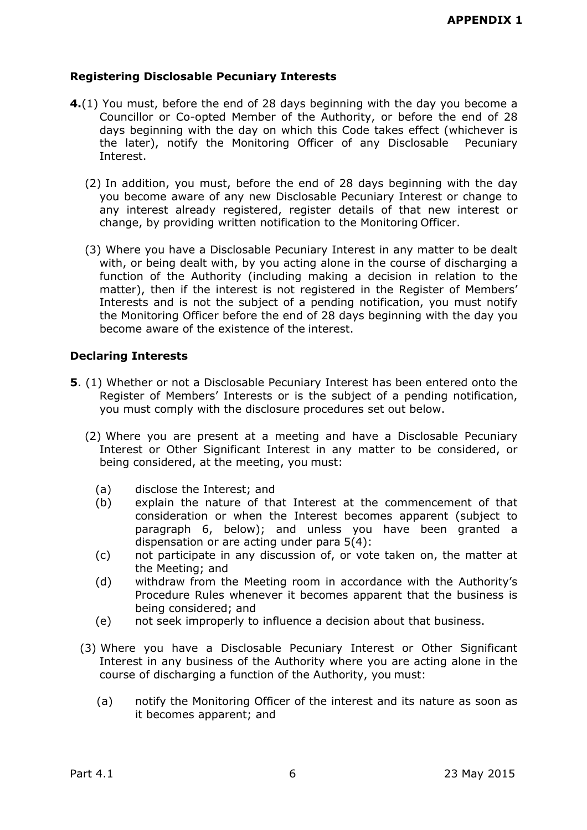# **Registering Disclosable Pecuniary Interests**

- **4.**(1) You must, before the end of 28 days beginning with the day you become a Councillor or Co-opted Member of the Authority, or before the end of 28 days beginning with the day on which this Code takes effect (whichever is the later), notify the Monitoring Officer of any Disclosable Pecuniary Interest.
	- (2) In addition, you must, before the end of 28 days beginning with the day you become aware of any new Disclosable Pecuniary Interest or change to any interest already registered, register details of that new interest or change, by providing written notification to the Monitoring Officer.
	- (3) Where you have a Disclosable Pecuniary Interest in any matter to be dealt with, or being dealt with, by you acting alone in the course of discharging a function of the Authority (including making a decision in relation to the matter), then if the interest is not registered in the Register of Members' Interests and is not the subject of a pending notification, you must notify the Monitoring Officer before the end of 28 days beginning with the day you become aware of the existence of the interest.

## **Declaring Interests**

- **5**. (1) Whether or not a Disclosable Pecuniary Interest has been entered onto the Register of Members' Interests or is the subject of a pending notification, you must comply with the disclosure procedures set out below.
	- (2) Where you are present at a meeting and have a Disclosable Pecuniary Interest or Other Significant Interest in any matter to be considered, or being considered, at the meeting, you must:
		- (a) disclose the Interest; and
		- (b) explain the nature of that Interest at the commencement of that consideration or when the Interest becomes apparent (subject to paragraph 6, below); and unless you have been granted a dispensation or are acting under para 5(4):
		- (c) not participate in any discussion of, or vote taken on, the matter at the Meeting; and
		- (d) withdraw from the Meeting room in accordance with the Authority's Procedure Rules whenever it becomes apparent that the business is being considered; and
		- (e) not seek improperly to influence a decision about that business.
	- (3) Where you have a Disclosable Pecuniary Interest or Other Significant Interest in any business of the Authority where you are acting alone in the course of discharging a function of the Authority, you must:
		- (a) notify the Monitoring Officer of the interest and its nature as soon as it becomes apparent; and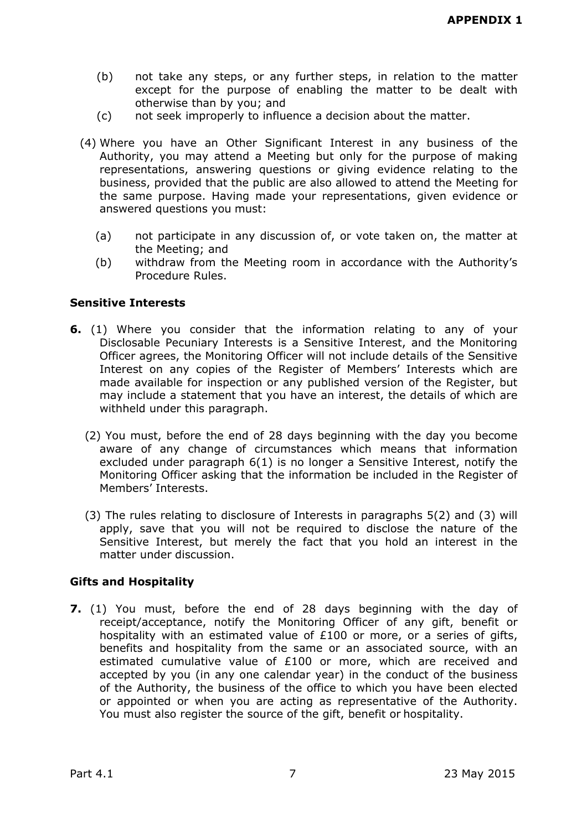- (b) not take any steps, or any further steps, in relation to the matter except for the purpose of enabling the matter to be dealt with otherwise than by you; and
- (c) not seek improperly to influence a decision about the matter.
- (4) Where you have an Other Significant Interest in any business of the Authority, you may attend a Meeting but only for the purpose of making representations, answering questions or giving evidence relating to the business, provided that the public are also allowed to attend the Meeting for the same purpose. Having made your representations, given evidence or answered questions you must:
	- (a) not participate in any discussion of, or vote taken on, the matter at the Meeting; and
	- (b) withdraw from the Meeting room in accordance with the Authority's Procedure Rules.

#### **Sensitive Interests**

- **6.** (1) Where you consider that the information relating to any of your Disclosable Pecuniary Interests is a Sensitive Interest, and the Monitoring Officer agrees, the Monitoring Officer will not include details of the Sensitive Interest on any copies of the Register of Members' Interests which are made available for inspection or any published version of the Register, but may include a statement that you have an interest, the details of which are withheld under this paragraph.
	- (2) You must, before the end of 28 days beginning with the day you become aware of any change of circumstances which means that information excluded under paragraph 6(1) is no longer a Sensitive Interest, notify the Monitoring Officer asking that the information be included in the Register of Members' Interests.
	- (3) The rules relating to disclosure of Interests in paragraphs 5(2) and (3) will apply, save that you will not be required to disclose the nature of the Sensitive Interest, but merely the fact that you hold an interest in the matter under discussion.

## **Gifts and Hospitality**

**7.** (1) You must, before the end of 28 days beginning with the day of receipt/acceptance, notify the Monitoring Officer of any gift, benefit or hospitality with an estimated value of £100 or more, or a series of gifts, benefits and hospitality from the same or an associated source, with an estimated cumulative value of £100 or more, which are received and accepted by you (in any one calendar year) in the conduct of the business of the Authority, the business of the office to which you have been elected or appointed or when you are acting as representative of the Authority. You must also register the source of the gift, benefit or hospitality.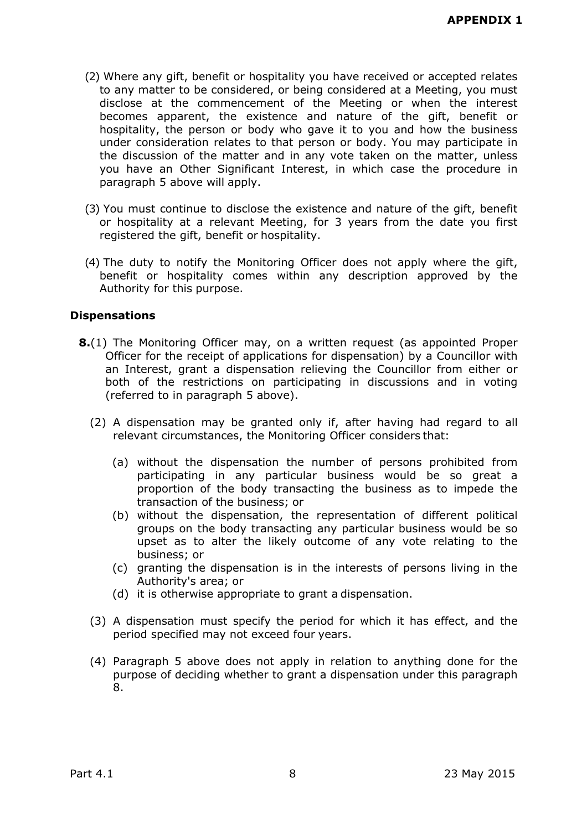- (2) Where any gift, benefit or hospitality you have received or accepted relates to any matter to be considered, or being considered at a Meeting, you must disclose at the commencement of the Meeting or when the interest becomes apparent, the existence and nature of the gift, benefit or hospitality, the person or body who gave it to you and how the business under consideration relates to that person or body. You may participate in the discussion of the matter and in any vote taken on the matter, unless you have an Other Significant Interest, in which case the procedure in paragraph 5 above will apply.
- (3) You must continue to disclose the existence and nature of the gift, benefit or hospitality at a relevant Meeting, for 3 years from the date you first registered the gift, benefit or hospitality.
- (4) The duty to notify the Monitoring Officer does not apply where the gift, benefit or hospitality comes within any description approved by the Authority for this purpose.

#### **Dispensations**

- **8.**(1) The Monitoring Officer may, on a written request (as appointed Proper Officer for the receipt of applications for dispensation) by a Councillor with an Interest, grant a dispensation relieving the Councillor from either or both of the restrictions on participating in discussions and in voting (referred to in paragraph 5 above).
	- (2) A dispensation may be granted only if, after having had regard to all relevant circumstances, the Monitoring Officer considers that:
		- (a) without the dispensation the number of persons prohibited from participating in any particular business would be so great a proportion of the body transacting the business as to impede the transaction of the business; or
		- (b) without the dispensation, the representation of different political groups on the body transacting any particular business would be so upset as to alter the likely outcome of any vote relating to the business; or
		- (c) granting the dispensation is in the interests of persons living in the Authority's area; or
		- (d) it is otherwise appropriate to grant a dispensation.
	- (3) A dispensation must specify the period for which it has effect, and the period specified may not exceed four years.
	- (4) Paragraph 5 above does not apply in relation to anything done for the purpose of deciding whether to grant a dispensation under this paragraph 8.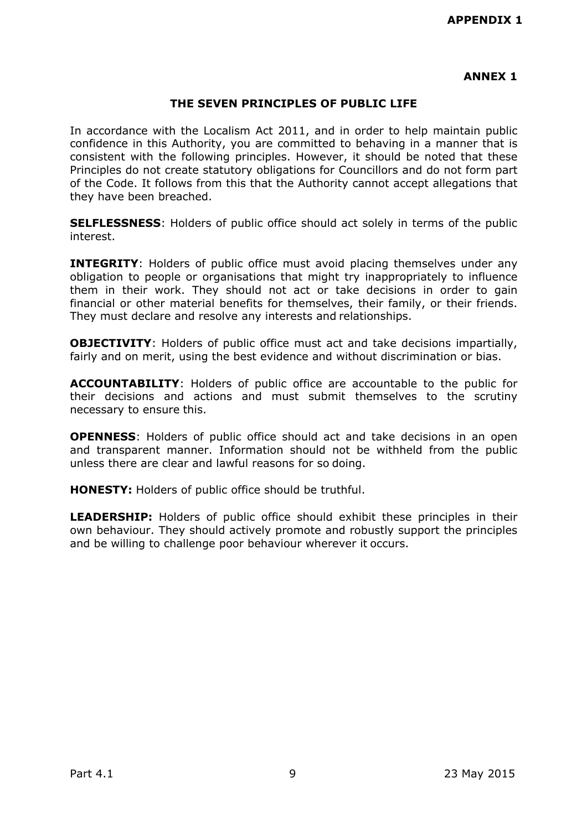### **ANNEX 1**

#### **THE SEVEN PRINCIPLES OF PUBLIC LIFE**

In accordance with the Localism Act 2011, and in order to help maintain public confidence in this Authority, you are committed to behaving in a manner that is consistent with the following principles. However, it should be noted that these Principles do not create statutory obligations for Councillors and do not form part of the Code. It follows from this that the Authority cannot accept allegations that they have been breached.

**SELFLESSNESS**: Holders of public office should act solely in terms of the public interest.

**INTEGRITY:** Holders of public office must avoid placing themselves under any obligation to people or organisations that might try inappropriately to influence them in their work. They should not act or take decisions in order to gain financial or other material benefits for themselves, their family, or their friends. They must declare and resolve any interests and relationships.

**OBJECTIVITY:** Holders of public office must act and take decisions impartially, fairly and on merit, using the best evidence and without discrimination or bias.

**ACCOUNTABILITY**: Holders of public office are accountable to the public for their decisions and actions and must submit themselves to the scrutiny necessary to ensure this.

**OPENNESS**: Holders of public office should act and take decisions in an open and transparent manner. Information should not be withheld from the public unless there are clear and lawful reasons for so doing.

**HONESTY:** Holders of public office should be truthful.

**LEADERSHIP:** Holders of public office should exhibit these principles in their own behaviour. They should actively promote and robustly support the principles and be willing to challenge poor behaviour wherever it occurs.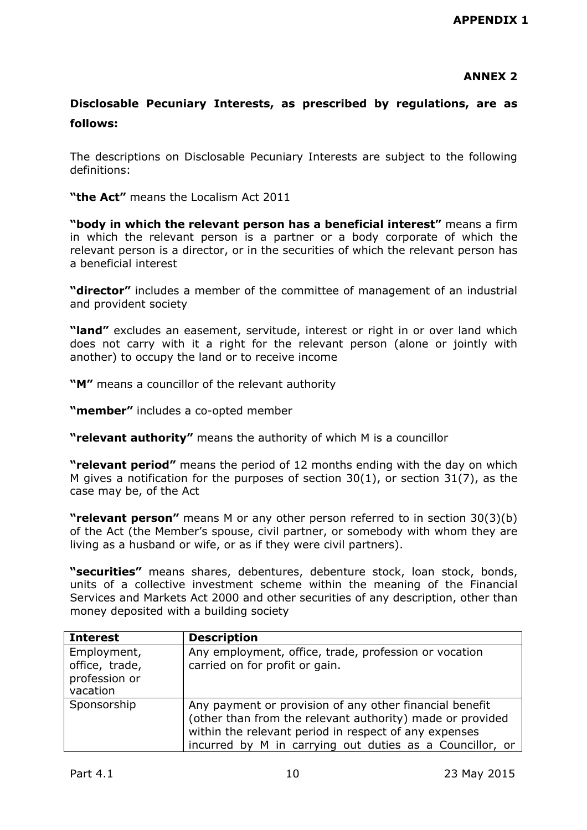# **ANNEX 2**

# **Disclosable Pecuniary Interests, as prescribed by regulations, are as follows:**

The descriptions on Disclosable Pecuniary Interests are subject to the following definitions:

**"the Act"** means the Localism Act 2011

**"body in which the relevant person has a beneficial interest"** means a firm in which the relevant person is a partner or a body corporate of which the relevant person is a director, or in the securities of which the relevant person has a beneficial interest

**"director"** includes a member of the committee of management of an industrial and provident society

**"land"** excludes an easement, servitude, interest or right in or over land which does not carry with it a right for the relevant person (alone or jointly with another) to occupy the land or to receive income

**"M"** means a councillor of the relevant authority

**"member"** includes a co-opted member

**"relevant authority"** means the authority of which M is a councillor

**"relevant period"** means the period of 12 months ending with the day on which M gives a notification for the purposes of section  $30(1)$ , or section  $31(7)$ , as the case may be, of the Act

**"relevant person"** means M or any other person referred to in section 30(3)(b) of the Act (the Member's spouse, civil partner, or somebody with whom they are living as a husband or wife, or as if they were civil partners).

**"securities"** means shares, debentures, debenture stock, loan stock, bonds, units of a collective investment scheme within the meaning of the Financial Services and Markets Act 2000 and other securities of any description, other than money deposited with a building society

| <b>Interest</b>                                            | <b>Description</b>                                                                                                                                                                                                                        |
|------------------------------------------------------------|-------------------------------------------------------------------------------------------------------------------------------------------------------------------------------------------------------------------------------------------|
| Employment,<br>office, trade,<br>profession or<br>vacation | Any employment, office, trade, profession or vocation<br>carried on for profit or gain.                                                                                                                                                   |
| Sponsorship                                                | Any payment or provision of any other financial benefit<br>(other than from the relevant authority) made or provided<br>within the relevant period in respect of any expenses<br>incurred by M in carrying out duties as a Councillor, or |